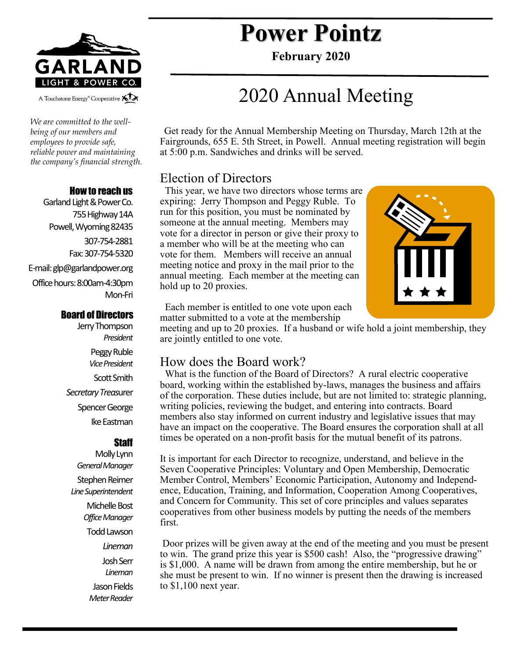

A Touchstone Energy<sup>®</sup> Cooperative All

*We are committed to the wellbeing of our members and employees to provide safe, reliable power and maintaining the company's financial strength.* 

#### How to reach us

Garland Light & Power Co. 755 Highway 14A Powell, Wyoming 82435 307-754-2881 Fax: 307-754-5320 E-mail: glp@garlandpower.org Office hours: 8:00am-4:30pm Mon-Fri

#### Board of Directors

Jerry Thompson *President* Peggy Ruble *Vice President* Scott Smith *Secretary Treas*urer Spencer George Ike Eastman

### **Staff**

Molly Lynn *General Manager* Stephen Reimer *Line Superintendent* Michelle Bost *Office Manager* Todd Lawson *Lineman* Josh Serr *Lineman* Jason Fields *Meter Reader*

# **Power Pointz**

**February 2020**

# 2020 Annual Meeting

 Get ready for the Annual Membership Meeting on Thursday, March 12th at the Fairgrounds, 655 E. 5th Street, in Powell. Annual meeting registration will begin at 5:00 p.m. Sandwiches and drinks will be served.

### Election of Directors

 This year, we have two directors whose terms are expiring: Jerry Thompson and Peggy Ruble. To run for this position, you must be nominated by someone at the annual meeting. Members may vote for a director in person or give their proxy to a member who will be at the meeting who can vote for them. Members will receive an annual meeting notice and proxy in the mail prior to the annual meeting. Each member at the meeting can hold up to 20 proxies.



 Each member is entitled to one vote upon each matter submitted to a vote at the membership

meeting and up to 20 proxies. If a husband or wife hold a joint membership, they are jointly entitled to one vote.

### How does the Board work?

 What is the function of the Board of Directors? A rural electric cooperative board, working within the established by-laws, manages the business and affairs of the corporation. These duties include, but are not limited to: strategic planning, writing policies, reviewing the budget, and entering into contracts. Board members also stay informed on current industry and legislative issues that may have an impact on the cooperative. The Board ensures the corporation shall at all times be operated on a non-profit basis for the mutual benefit of its patrons.

It is important for each Director to recognize, understand, and believe in the Seven Cooperative Principles: Voluntary and Open Membership, Democratic Member Control, Members' Economic Participation, Autonomy and Independence, Education, Training, and Information, Cooperation Among Cooperatives, and Concern for Community. This set of core principles and values separates cooperatives from other business models by putting the needs of the members first.

Door prizes will be given away at the end of the meeting and you must be present to win. The grand prize this year is \$500 cash! Also, the "progressive drawing" is \$1,000. A name will be drawn from among the entire membership, but he or she must be present to win. If no winner is present then the drawing is increased to \$1,100 next year.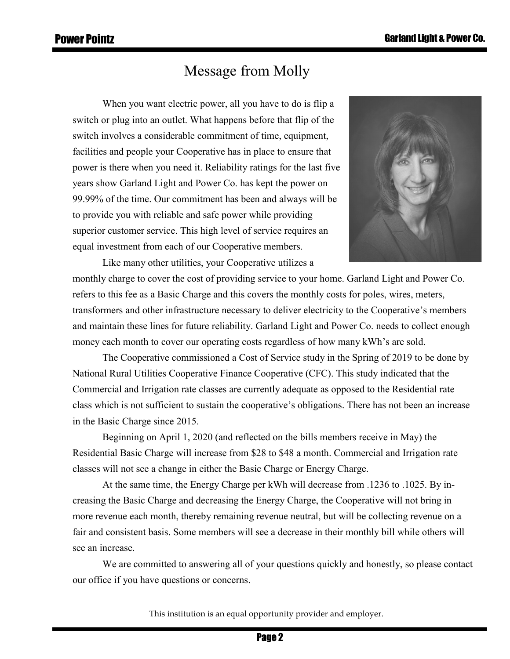## Message from Molly

When you want electric power, all you have to do is flip a switch or plug into an outlet. What happens before that flip of the switch involves a considerable commitment of time, equipment, facilities and people your Cooperative has in place to ensure that power is there when you need it. Reliability ratings for the last five years show Garland Light and Power Co. has kept the power on 99.99% of the time. Our commitment has been and always will be to provide you with reliable and safe power while providing superior customer service. This high level of service requires an equal investment from each of our Cooperative members.



Like many other utilities, your Cooperative utilizes a monthly charge to cover the cost of providing service to your home. Garland Light and Power Co. refers to this fee as a Basic Charge and this covers the monthly costs for poles, wires, meters, transformers and other infrastructure necessary to deliver electricity to the Cooperative's members and maintain these lines for future reliability. Garland Light and Power Co. needs to collect enough money each month to cover our operating costs regardless of how many kWh's are sold.

The Cooperative commissioned a Cost of Service study in the Spring of 2019 to be done by National Rural Utilities Cooperative Finance Cooperative (CFC). This study indicated that the Commercial and Irrigation rate classes are currently adequate as opposed to the Residential rate class which is not sufficient to sustain the cooperative's obligations. There has not been an increase in the Basic Charge since 2015.

Beginning on April 1, 2020 (and reflected on the bills members receive in May) the Residential Basic Charge will increase from \$28 to \$48 a month. Commercial and Irrigation rate classes will not see a change in either the Basic Charge or Energy Charge.

At the same time, the Energy Charge per kWh will decrease from .1236 to .1025. By increasing the Basic Charge and decreasing the Energy Charge, the Cooperative will not bring in more revenue each month, thereby remaining revenue neutral, but will be collecting revenue on a fair and consistent basis. Some members will see a decrease in their monthly bill while others will see an increase.

We are committed to answering all of your questions quickly and honestly, so please contact our office if you have questions or concerns.

This institution is an equal opportunity provider and employer.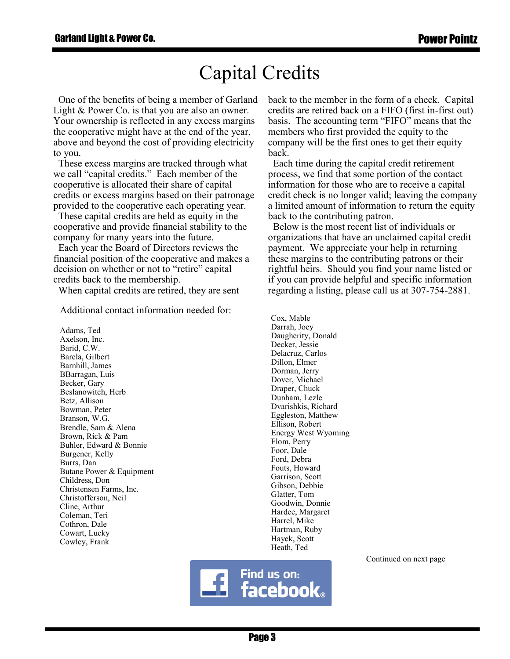# Capital Credits

 One of the benefits of being a member of Garland Light & Power Co. is that you are also an owner. Your ownership is reflected in any excess margins the cooperative might have at the end of the year, above and beyond the cost of providing electricity to you.

 These excess margins are tracked through what we call "capital credits." Each member of the cooperative is allocated their share of capital credits or excess margins based on their patronage provided to the cooperative each operating year.

 These capital credits are held as equity in the cooperative and provide financial stability to the company for many years into the future.

 Each year the Board of Directors reviews the financial position of the cooperative and makes a decision on whether or not to "retire" capital credits back to the membership.

When capital credits are retired, they are sent

Additional contact information needed for:

Adams, Ted Axelson, Inc. Barid, C.W. Barela, Gilbert Barnhill, James BBarragan, Luis Becker, Gary Beslanowitch, Herb Betz, Allison Bowman, Peter Branson, W.G. Brendle, Sam & Alena Brown, Rick & Pam Buhler, Edward & Bonnie Burgener, Kelly Burrs, Dan Butane Power & Equipment Childress, Don Christensen Farms, Inc. Christofferson, Neil Cline, Arthur Coleman, Teri Cothron, Dale Cowart, Lucky Cowley, Frank

back to the member in the form of a check. Capital credits are retired back on a FIFO (first in-first out) basis. The accounting term "FIFO" means that the members who first provided the equity to the company will be the first ones to get their equity back.

 Each time during the capital credit retirement process, we find that some portion of the contact information for those who are to receive a capital credit check is no longer valid; leaving the company a limited amount of information to return the equity back to the contributing patron.

 Below is the most recent list of individuals or organizations that have an unclaimed capital credit payment. We appreciate your help in returning these margins to the contributing patrons or their rightful heirs. Should you find your name listed or if you can provide helpful and specific information regarding a listing, please call us at 307-754-2881.

Cox, Mable Darrah, Joey Daugherity, Donald Decker, Jessie Delacruz, Carlos Dillon, Elmer Dorman, Jerry Dover, Michael Draper, Chuck Dunham, Lezle Dvarishkis, Richard Eggleston, Matthew Ellison, Robert Energy West Wyoming Flom, Perry Foor, Dale Ford, Debra Fouts, Howard Garrison, Scott Gibson, Debbie Glatter, Tom Goodwin, Donnie Hardee, Margaret Harrel, Mike Hartman, Ruby Hayek, Scott Heath, Ted

Continued on next page